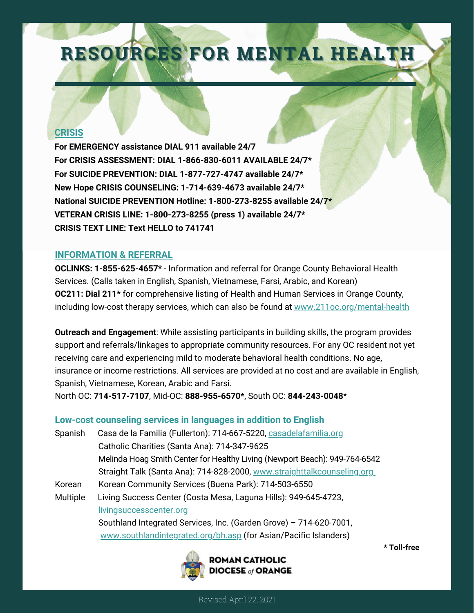# RESOURCES FOR MENTAL HEALTH

## **CRISIS**

**For EMERGENCY assistance DIAL 911 available 24/7 For CRISIS ASSESSMENT: DIAL 1-866-830-6011 AVAILABLE 24/7\* For SUICIDE PREVENTION: DIAL 1-877-727-4747 available 24/7\* New Hope CRISIS COUNSELING: 1-714-639-4673 available 24/7\* National SUICIDE PREVENTION Hotline: 1-800-273-8255 available 24/7\* VETERAN CRISIS LINE: 1-800-273-8255 (press 1) available 24/7\* CRISIS TEXT LINE: Text HELLO to 741741**

## **INFORMATION & REFERRAL**

**OC211: Dial 211\*** for comprehensive listing of Health and Human Services in Orange County, including low-cost therapy services, which can also be found at [www.211oc.org/mental-health](https://www.211oc.org/mental-health.html) **OCLINKS: 1-855-625-4657\*** - Information and referral for Orange County Behavioral Health Services. (Calls taken in English, Spanish, Vietnamese, Farsi, Arabic, and Korean)

**Outreach and Engagement**: While assisting participants in building skills, the program provides support and referrals/linkages to appropriate community resources. For any OC resident not yet receiving care and experiencing mild to moderate behavioral health conditions. No age, insurance or income restrictions. All services are provided at no cost and are available in English, Spanish, Vietnamese, Korean, Arabic and Farsi.

North OC: **714-517-7107**, Mid-OC: **888-955-6570\***, South OC: **844-243-0048**\*

# **Low-cost counseling services in languages in addition to English**

| Spanish  | Casa de la Familia (Fullerton): 714-667-5220, casadelafamilia.org          |
|----------|----------------------------------------------------------------------------|
|          | Catholic Charities (Santa Ana): 714-347-9625                               |
|          | Melinda Hoag Smith Center for Healthy Living (Newport Beach): 949-764-6542 |
|          | Straight Talk (Santa Ana): 714-828-2000, www.straighttalkcounseling.org    |
| Korean   | Korean Community Services (Buena Park): 714-503-6550                       |
| Multiple | Living Success Center (Costa Mesa, Laguna Hills): 949-645-4723,            |
|          | livingsuccesscenter.org                                                    |
|          | Southland Integrated Services, Inc. (Garden Grove) - 714-620-7001,         |
|          | www.southlandintegrated.org/bh.asp (for Asian/Pacific Islanders)           |



**\* Toll-free**